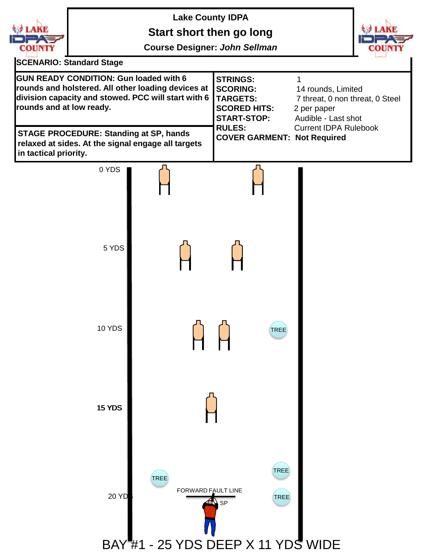

**Lake County IDPA**

**Start short then go long**

**Course Designer:** *John Sellman*



**SCENARIO: Standard Stage**

| <b>GUN READY CONDITION: Gun loaded with 6</b><br>rounds and holstered. All other loading devices at  <br>division capacity and stowed. PCC will start with 6 TARGETS:<br>rounds and at low ready. | <b>STRINGS:</b><br><b>SCORING:</b><br><b>SCORED HITS:</b><br><b>START-STOP:</b> | 14 rounds, Limited<br>7 threat, 0 non threat, 0 Steel<br>2 per paper<br>Audible - Last shot |
|---------------------------------------------------------------------------------------------------------------------------------------------------------------------------------------------------|---------------------------------------------------------------------------------|---------------------------------------------------------------------------------------------|
| <b>STAGE PROCEDURE: Standing at SP, hands</b><br>relaxed at sides. At the signal engage all targets<br>in tactical priority.                                                                      | <b>RULES:</b><br><b>COVER GARMENT: Not Required</b>                             | <b>Current IDPA Rulebook</b>                                                                |

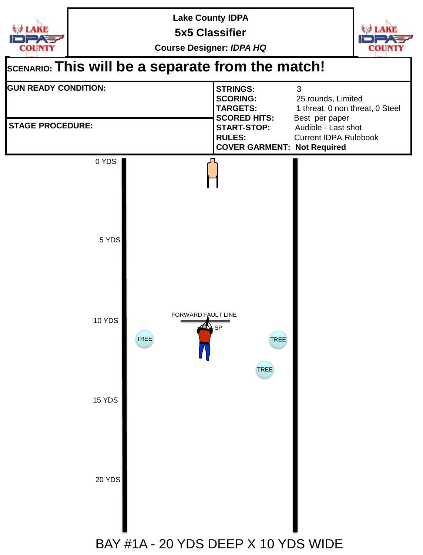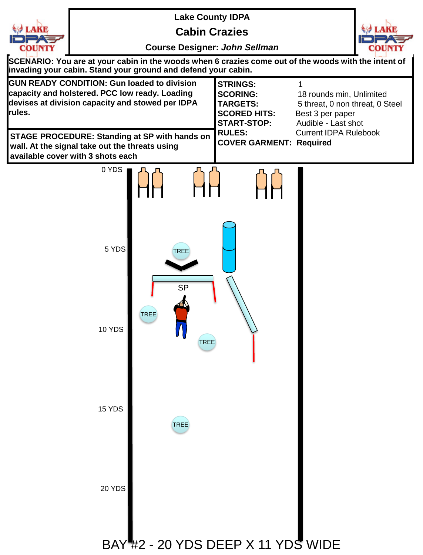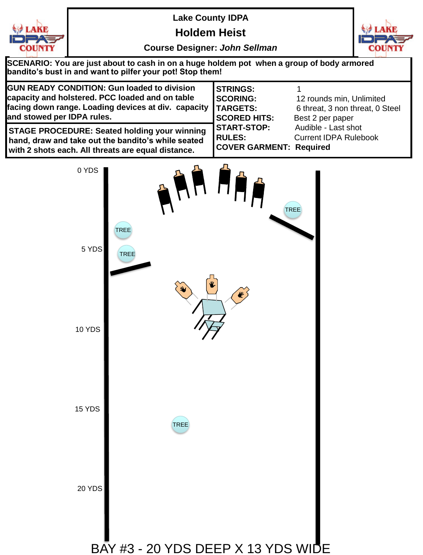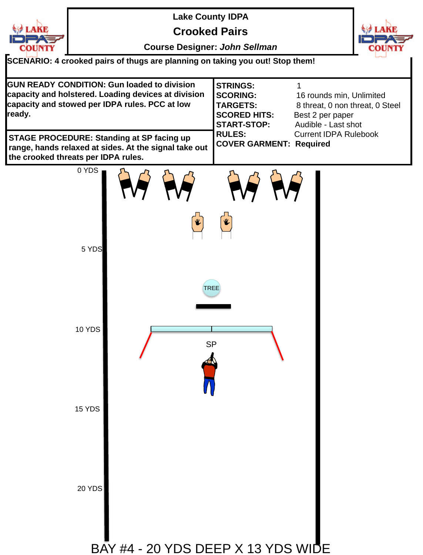|  | LAKE   |
|--|--------|
|  | COUNTY |

**Lake County IDPA**

**Crooked Pairs**



**Course Designer:** *John Sellman*

**SCENARIO: 4 crooked pairs of thugs are planning on taking you out! Stop them!**

| <b>GUN READY CONDITION: Gun loaded to division</b><br>capacity and holstered. Loading devices at division<br>capacity and stowed per IDPA rules. PCC at low<br>ready. | <b>STRINGS:</b><br><b>SCORING:</b><br><b>TARGETS:</b><br><b>SCORED HITS:</b><br><b>START-STOP:</b> | 16 rounds min, Unlimited<br>8 threat, 0 non threat, 0 Steel<br>Best 2 per paper<br>Audible - Last shot |
|-----------------------------------------------------------------------------------------------------------------------------------------------------------------------|----------------------------------------------------------------------------------------------------|--------------------------------------------------------------------------------------------------------|
| <b>STAGE PROCEDURE: Standing at SP facing up</b><br>range, hands relaxed at sides. At the signal take out<br>the crooked threats per IDPA rules.                      | <b>IRULES:</b><br><b>COVER GARMENT: Required</b>                                                   | <b>Current IDPA Rulebook</b>                                                                           |

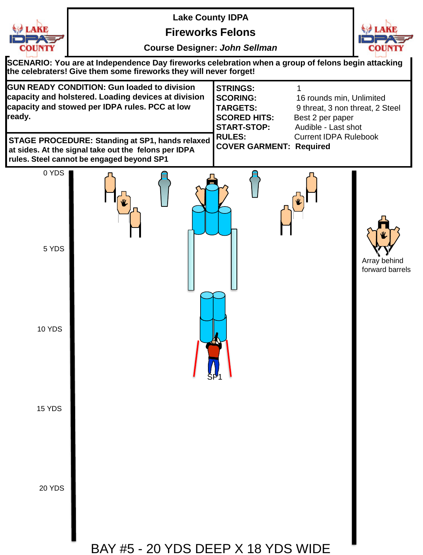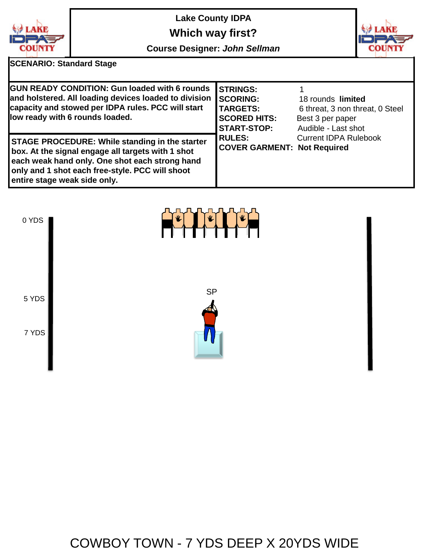

**Lake County IDPA Which way first?**

**Course Designer:** *John Sellman*



**SCENARIO: Standard Stage**

| <b>GUN READY CONDITION: Gun loaded with 6 rounds</b><br>and holstered. All loading devices loaded to division<br>capacity and stowed per IDPA rules. PCC will start<br>low ready with 6 rounds loaded.                                          | <b>STRINGS:</b><br><b>SCORING:</b><br><b>TARGETS:</b><br><b>SCORED HITS:</b><br><b>START-STOP:</b> | 18 rounds limited<br>6 threat, 3 non threat, 0 Steel<br>Best 3 per paper<br>Audible - Last shot |
|-------------------------------------------------------------------------------------------------------------------------------------------------------------------------------------------------------------------------------------------------|----------------------------------------------------------------------------------------------------|-------------------------------------------------------------------------------------------------|
| <b>STAGE PROCEDURE: While standing in the starter</b><br>box. At the signal engage all targets with 1 shot<br>each weak hand only. One shot each strong hand<br>only and 1 shot each free-style. PCC will shoot<br>entire stage weak side only. | <b>RULES:</b><br><b>COVER GARMENT: Not Required</b>                                                | <b>Current IDPA Rulebook</b>                                                                    |



COWBOY TOWN - 7 YDS DEEP X 20YDS WIDE